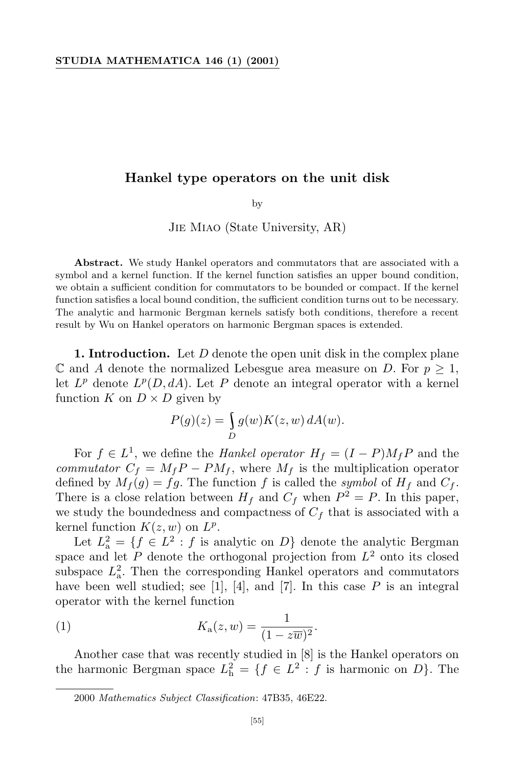# **Hankel type operators on the unit disk**

by

Jie Miao (State University, AR)

**Abstract.** We study Hankel operators and commutators that are associated with a symbol and a kernel function. If the kernel function satisfies an upper bound condition, we obtain a sufficient condition for commutators to be bounded or compact. If the kernel function satisfies a local bound condition, the sufficient condition turns out to be necessary. The analytic and harmonic Bergman kernels satisfy both conditions, therefore a recent result by Wu on Hankel operators on harmonic Bergman spaces is extended.

**1. Introduction.** Let *D* denote the open unit disk in the complex plane  $\mathbb C$  and *A* denote the normalized Lebesgue area measure on *D*. For  $p \geq 1$ , let  $L^p$  denote  $L^p(D, dA)$ . Let P denote an integral operator with a kernel function *K* on  $D \times D$  given by

$$
P(g)(z) = \int_{D} g(w)K(z, w) dA(w).
$$

For  $f \in L^1$ , we define the *Hankel operator*  $H_f = (I - P)M_f P$  and the *commutator*  $C_f = M_f P - PM_f$ , where  $M_f$  is the multiplication operator defined by  $M_f(g) = fg$ . The function f is called the *symbol* of  $H_f$  and  $C_f$ . There is a close relation between  $H_f$  and  $C_f$  when  $P^2 = P$ . In this paper, we study the boundedness and compactness of  $C_f$  that is associated with a kernel function  $K(z, w)$  on  $L^p$ .

Let  $L^2_{\mathbf{a}} = \{ f \in L^2 : f \text{ is analytic on } D \}$  denote the analytic Bergman space and let *P* denote the orthogonal projection from *L* <sup>2</sup> onto its closed subspace  $L^2$ . Then the corresponding Hankel operators and commutators have been well studied; see [1], [4], and [7]. In this case P is an integral operator with the kernel function

(1) 
$$
K_{\mathbf{a}}(z,w) = \frac{1}{(1 - z\overline{w})^2}.
$$

Another case that was recently studied in [8] is the Hankel operators on the harmonic Bergman space  $L<sub>h</sub><sup>2</sup> = {f \in L<sup>2</sup> : f is harmonic on D}.$  The

<sup>2000</sup> *Mathematics Subject Classification*: 47B35, 46E22.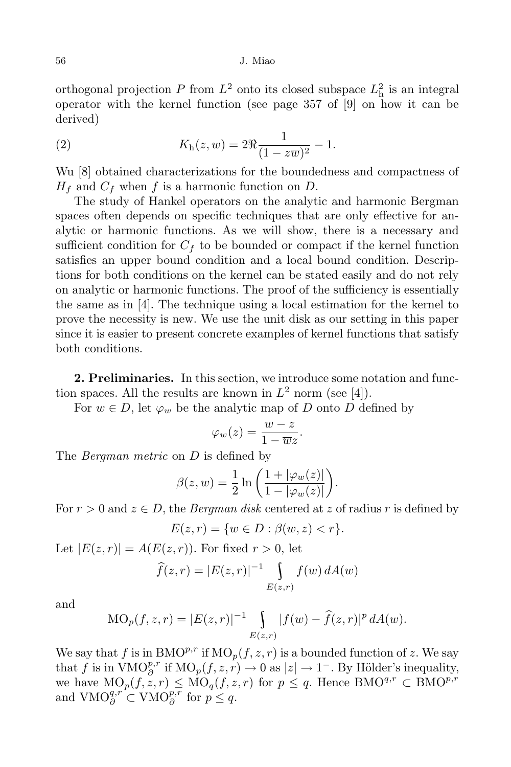### 56 J. Miao

orthogonal projection  $P$  from  $L^2$  onto its closed subspace  $L<sub>h</sub><sup>2</sup>$  is an integral operator with the kernel function (see page 357 of [9] on how it can be derived)

(2) 
$$
K_{\rm h}(z,w) = 2\Re \frac{1}{(1-z\overline{w})^2} - 1.
$$

Wu [8] obtained characterizations for the boundedness and compactness of *H<sup>f</sup>* and *C<sup>f</sup>* when *f* is a harmonic function on *D*.

The study of Hankel operators on the analytic and harmonic Bergman spaces often depends on specific techniques that are only effective for analytic or harmonic functions. As we will show, there is a necessary and sufficient condition for  $C_f$  to be bounded or compact if the kernel function satisfies an upper bound condition and a local bound condition. Descriptions for both conditions on the kernel can be stated easily and do not rely on analytic or harmonic functions. The proof of the sufficiency is essentially the same as in [4]. The technique using a local estimation for the kernel to prove the necessity is new. We use the unit disk as our setting in this paper since it is easier to present concrete examples of kernel functions that satisfy both conditions.

**2. Preliminaries.** In this section, we introduce some notation and function spaces. All the results are known in  $L^2$  norm (see [4]).

For  $w \in D$ , let  $\varphi_w$  be the analytic map of *D* onto *D* defined by

$$
\varphi_w(z) = \frac{w-z}{1-\overline{w}z}.
$$

The *Bergman metric* on *D* is defined by

$$
\beta(z, w) = \frac{1}{2} \ln \left( \frac{1 + |\varphi_w(z)|}{1 - |\varphi_w(z)|} \right).
$$

For  $r > 0$  and  $z \in D$ , the *Bergman disk* centered at z of radius r is defined by

$$
E(z,r)=\{w\in D: \beta(w,z)
$$

Let  $|E(z,r)| = A(E(z,r))$ . For fixed  $r > 0$ , let

$$
\widehat{f}(z,r) = |E(z,r)|^{-1} \int_{E(z,r)} f(w) dA(w)
$$

and

$$
MO_p(f, z, r) = |E(z, r)|^{-1} \int_{E(z, r)} |f(w) - \hat{f}(z, r)|^p dA(w).
$$

We say that *f* is in  $BMO<sup>p,r</sup>$  if  $MO<sub>p</sub>(f, z, r)$  is a bounded function of *z*. We say that *f* is in  $\text{VMO}_{\partial}^{p,r}$  if  $\text{MO}_p(f,z,r) \to 0$  as  $|z| \to 1^-$ . By Hölder's inequality,  $\alpha$ we have  $\text{MO}_p(f, z, r) \leq \text{MO}_q(f, z, r)$  for  $p \leq q$ . Hence  $\text{BMO}^{q,r} \subset \text{BMO}^{p,r}$ and  $VMO_{\partial}^{q,r} \subset VMO_{\partial}^{p,r}$  for  $p \leq q$ .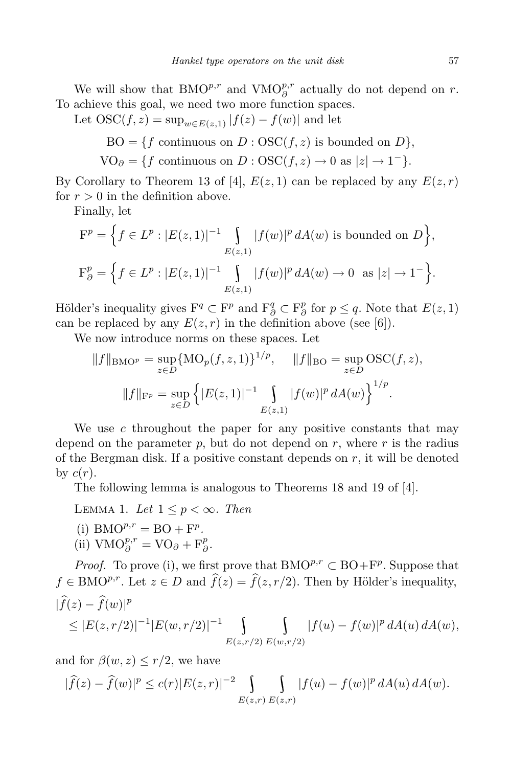We will show that  $BMO^{p,r}$  and  $VMO^{p,r}_{\partial}$  actually do not depend on *r*. To achieve this goal, we need two more function spaces.

Let  $\text{OSC}(f, z) = \sup_{w \in E(z, 1)} |f(z) - f(w)|$  and let

 $BO = \{f \text{ continuous on } D : \text{OSC}(f, z) \text{ is bounded on } D\},\$ 

 $\text{VO}_\partial = \{f \text{ continuous on } D : \text{OSC}(f, z) \to 0 \text{ as } |z| \to 1^- \}.$ 

By Corollary to Theorem 13 of [4],  $E(z, 1)$  can be replaced by any  $E(z, r)$ for  $r > 0$  in the definition above.

Finally, let

$$
\mathcal{F}^{p} = \left\{ f \in L^{p} : |E(z, 1)|^{-1} \int_{E(z, 1)} |f(w)|^{p} dA(w) \text{ is bounded on } D \right\},\
$$
  

$$
\mathcal{F}^{p}_{\partial} = \left\{ f \in L^{p} : |E(z, 1)|^{-1} \int_{E(z, 1)} |f(w)|^{p} dA(w) \to 0 \text{ as } |z| \to 1^{-} \right\}.
$$

Hölder's inequality gives  $F^q \subset F^p$  and  $F^q_{\partial} \subset F^p_{\partial}$ *<sup><i>p*</sup> for *p* ≤ *q*. Note that  $E(z, 1)$ can be replaced by any  $E(z, r)$  in the definition above (see [6]).

We now introduce norms on these spaces. Let

$$
||f||_{\text{BMO}^p} = \sup_{z \in D} \{ \text{MO}_p(f, z, 1) \}^{1/p}, \quad ||f||_{\text{BO}} = \sup_{z \in D} \text{OSC}(f, z),
$$

$$
||f||_{\text{F}^p} = \sup_{z \in D} \left\{ |E(z, 1)|^{-1} \int_{E(z, 1)} |f(w)|^p dA(w) \right\}^{1/p}.
$$

We use *c* throughout the paper for any positive constants that may depend on the parameter  $p$ , but do not depend on  $r$ , where  $r$  is the radius of the Bergman disk. If a positive constant depends on *r*, it will be denoted by  $c(r)$ .

The following lemma is analogous to Theorems 18 and 19 of [4].

LEMMA 1. Let  $1 \leq p < \infty$ . Then

- (i)  $BMO^{p,r} = BO + F^p$ .
- $(iii)$  VMO<sup>*p*,*r*</sup> = VO<sub>∂</sub> + F<sup>*p*</sup><sub>∂</sub> *∂ .*

*Proof.* To prove (i), we first prove that  $BMO^{p,r} \subset BO + F^p$ . Suppose that  $f \in \text{BMO}^{p,r}$ . Let  $z \in D$  and  $\widehat{f}(z) = \widehat{f}(z, r/2)$ . Then by Hölder's inequality,  $|\widehat{f}(z) - \widehat{f}(w)|^p$ 

$$
\leq |E(z,r/2)|^{-1}|E(w,r/2)|^{-1}\int_{E(z,r/2)|E(w,r/2)|} |f(u)-f(w)|^p dA(u) dA(w),
$$

and for  $\beta(w, z) \leq r/2$ , we have

$$
|\widehat{f}(z) - \widehat{f}(w)|^p \le c(r)|E(z,r)|^{-2} \int_{E(z,r)} \int_{E(z,r)} |f(u) - f(w)|^p dA(u) dA(w).
$$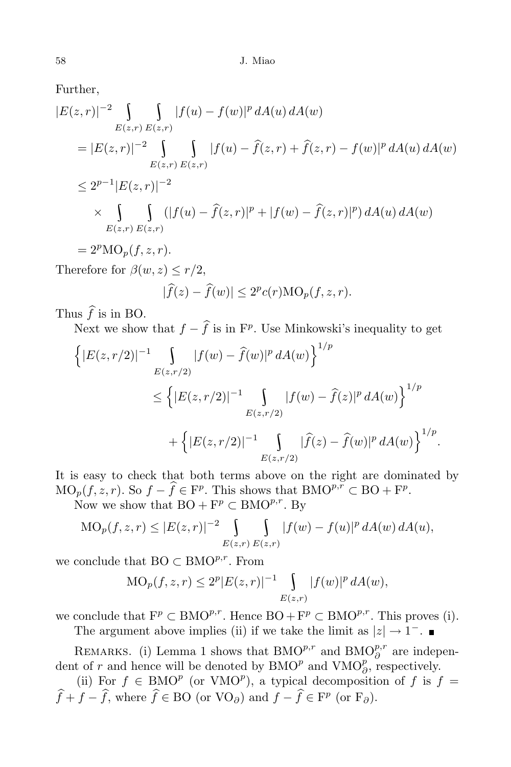Further,

$$
|E(z,r)|^{-2} \int_{E(z,r)} \int_{E(z,r)} |f(u) - f(w)|^p dA(u) dA(w)
$$
  
\n
$$
= |E(z,r)|^{-2} \int_{E(z,r)} \int_{E(z,r)} |f(u) - \hat{f}(z,r) + \hat{f}(z,r) - f(w)|^p dA(u) dA(w)
$$
  
\n
$$
\leq 2^{p-1} |E(z,r)|^{-2}
$$
  
\n
$$
\times \int_{E(z,r)} \int_{E(z,r)} (|f(u) - \hat{f}(z,r)|^p + |f(w) - \hat{f}(z,r)|^p) dA(u) dA(w)
$$
  
\n
$$
E(z,r) E(z,r)
$$
  
\n
$$
= 2^p \text{MO}_p(f,z,r).
$$
  
\nTherefore for  $\beta(w,z) \leq r/2$ ,  
\n
$$
|\hat{f}(z) - \hat{f}(w)| \leq 2^p c(r) \text{MO}_p(f,z,r).
$$

Thus  $\hat{f}$  is in BO.

Next we show that  $f - f$  is in  $F^p$ . Use Minkowski's inequality to get

$$
\left\{ |E(z, r/2)|^{-1} \int_{E(z, r/2)} |f(w) - \hat{f}(w)|^p dA(w) \right\}^{1/p}
$$
  
\n
$$
\leq \left\{ |E(z, r/2)|^{-1} \int_{E(z, r/2)} |f(w) - \hat{f}(z)|^p dA(w) \right\}^{1/p}
$$
  
\n
$$
+ \left\{ |E(z, r/2)|^{-1} \int_{E(z, r/2)} |\hat{f}(z) - \hat{f}(w)|^p dA(w) \right\}^{1/p}.
$$

It is easy to check that both terms above on the right are dominated by  $\text{MO}_p(f, z, r)$ . So  $f - \hat{f} \in \mathbb{F}^p$ . This shows that  $\text{BMO}^{p,r} \subset \text{BO} + \mathbb{F}^p$ .

Now we show that  $BO + F^p \subset BMO^{p,r}$ . By

$$
MO_p(f, z, r) \le |E(z, r)|^{-2} \int_{E(z, r)} \int_{E(z, r)} |f(w) - f(u)|^p dA(w) dA(u),
$$

we conclude that BO *<sup>⊂</sup>* BMO*p,r* . From

$$
MO_p(f, z, r) \le 2^p |E(z, r)|^{-1} \int_{E(z,r)} |f(w)|^p dA(w),
$$

we conclude that  $\mathbf{F}^p \subset \text{BMO}^{p,r}$ . Hence  $\text{BO} + \mathbf{F}^p \subset \text{BMO}^{p,r}$ . This proves (i).

The argument above implies (ii) if we take the limit as  $|z| \to 1^-$ .

REMARKS. (i) Lemma 1 shows that  $BMO<sup>p,r</sup><sub>\rho</sub>$  and  $BMO<sup>p,r</sup><sub>\partial</sub>$  are independent of *r* and hence will be denoted by  $BMO^p$  and  $VMO^p_{\partial}$ , respectively.

(ii) For  $f \in \text{BMO}^p$  (or VMO<sup>p</sup>), a typical decomposition of  $f$  is  $f =$  $f + f - f$ , where  $f \in BO$  (or VO $\partial$ ) and  $f - f \in F^p$  (or F $\partial$ ).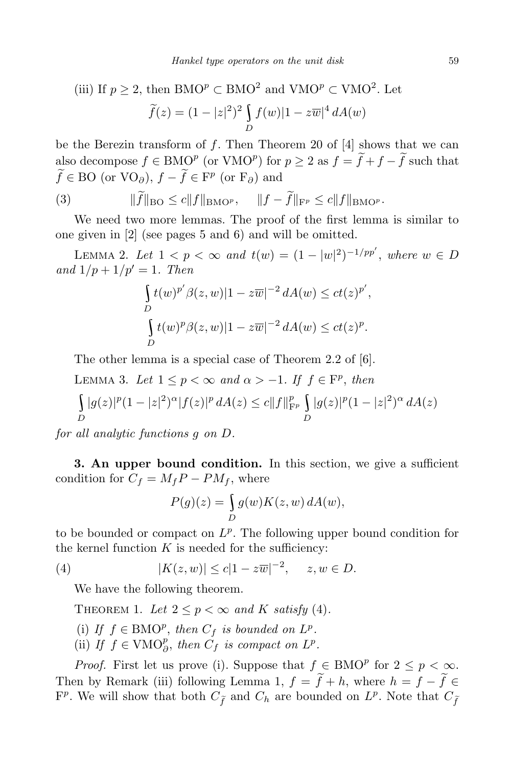(iii) If 
$$
p \ge 2
$$
, then  $\text{BMO}^p \subset \text{BMO}^2$  and  $\text{VMO}^p \subset \text{VMO}^2$ . Let  
\n
$$
\widetilde{f}(z) = (1 - |z|^2)^2 \int_D f(w) |1 - z\overline{w}|^4 dA(w)
$$

be the Berezin transform of *f*. Then Theorem 20 of [4] shows that we can also decompose  $f \in \text{BMO}^p$  (or  $\text{VMO}^p$ ) for  $p \geq 2$  as  $f = \overline{f} + \overline{f} - \overline{f}$  such that  $f \in BO$  (or  $VO_{\partial}$ ),  $f - f \in F^p$  (or  $F_{\partial}$ ) and

(3) 
$$
\|\widetilde{f}\|_{\text{BO}} \leq c \|f\|_{\text{BMO}^p}, \quad \|f - \widetilde{f}\|_{\text{F}^p} \leq c \|f\|_{\text{BMO}^p}.
$$

We need two more lemmas. The proof of the first lemma is similar to one given in [2] (see pages 5 and 6) and will be omitted.

LEMMA 2. Let  $1 < p < ∞$  and  $t(w) = (1 - |w|^2)^{-1/pp'}$ , where  $w \in D$ *and*  $1/p + 1/p' = 1$ *. Then* 

$$
\int_{D} t(w)^{p'} \beta(z, w) |1 - z\overline{w}|^{-2} dA(w) \le ct(z)^{p'},
$$
  

$$
\int_{D} t(w)^{p} \beta(z, w) |1 - z\overline{w}|^{-2} dA(w) \le ct(z)^{p}.
$$

The other lemma is a special case of Theorem 2.2 of [6].

LEMMA 3. Let  $1 \leq p < \infty$  and  $\alpha > -1$ . If  $f \in \mathbb{F}^p$ , then  $\mathbf{r}$  and  $\mathbf{r}$  and  $\mathbf{r}$  and  $\mathbf{r}$ *D*  $|g(z)|^p(1-|z|^2)^\alpha|f(z)|^p dA(z) \leq c||f||_{\mathbf{F}^p}^p \int |g(z)|^p$ *D*  $|g(z)|^p(1-|z|^2)^\alpha dA(z)$ 

*for all analytic functions g on D.*

**3. An upper bound condition.** In this section, we give a sufficient condition for  $C_f = M_f P - PM_f$ , where

$$
P(g)(z) = \int_{D} g(w)K(z, w) dA(w),
$$

to be bounded or compact on  $L^p$ . The following upper bound condition for the kernel function  $K$  is needed for the sufficiency:

(4) 
$$
|K(z, w)| \le c|1 - z\overline{w}|^{-2}, \quad z, w \in D.
$$

We have the following theorem.

THEOREM 1. Let  $2 \leq p \leq \infty$  and K satisfy (4).

- (i) *If*  $f \in BMO_P^p$ , *then*  $C_f$  *is bounded on*  $L^p$ .
- (ii) If  $f \in VMO_{\partial}^p$ , then  $C_f$  is compact on  $L^p$ .

*Proof.* First let us prove (i). Suppose that  $f \in BMO^p$  for  $2 \leq p < \infty$ . Then by Remark (iii) following Lemma 1,  $f = \tilde{f} + h$ , where  $h = f - \tilde{f} \in$  $F^p$ . We will show that both  $C_{\tilde{f}}$  and  $C_h$  are bounded on  $L^p$ . Note that  $C_{\tilde{f}}$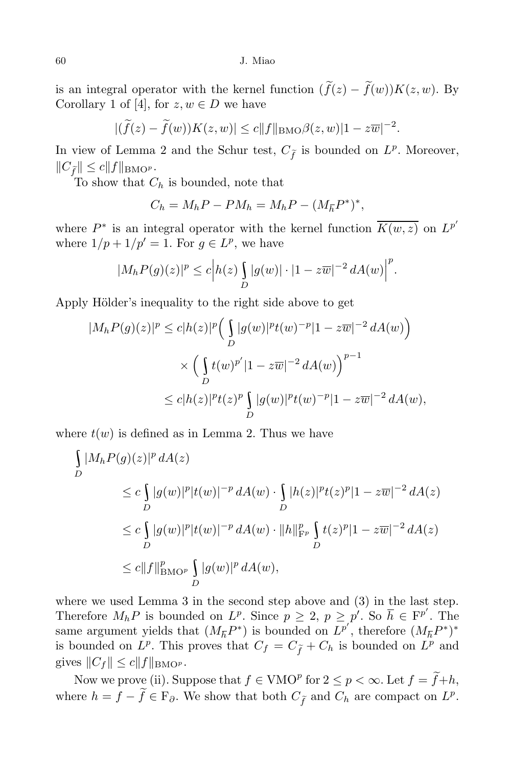is an integral operator with the kernel function  $(\tilde{f}(z) - \tilde{f}(w))K(z, w)$ . By Corollary 1 of [4], for  $z, w \in D$  we have

$$
|(\widetilde{f}(z) - \widetilde{f}(w))K(z, w)| \le c \|f\|_{\text{BMO}} \beta(z, w)|1 - z\overline{w}|^{-2}.
$$

In view of Lemma 2 and the Schur test,  $C_{\tilde{f}}$  is bounded on  $L^p$ . Moreover,  $||C_{\tilde{f}}|| \leq c||f||_{\text{BMO}^p}$ .

To show that *C<sup>h</sup>* is bounded, note that

$$
C_h = M_h P - P M_h = M_h P - (M_{\bar{h}} P^*)^*,
$$

where  $P^*$  is an integral operator with the kernel function  $K(w, z)$  on  $L^{p'}$ where  $1/p + 1/p' = 1$ . For  $g \in L^p$ , we have

$$
|M_h P(g)(z)|^p \le c |h(z) \int_D |g(w)| \cdot |1 - z\overline{w}|^{-2} dA(w)|^p.
$$

Apply Hölder's inequality to the right side above to get

$$
|M_h P(g)(z)|^p \le c|h(z)|^p \left(\int_D |g(w)|^p t(w)^{-p}|1 - z\overline{w}|^{-2} dA(w)\right)
$$
  
\$\times \left(\int\_D t(w)^{p'}|1 - z\overline{w}|^{-2} dA(w)\right)^{p-1}\$  
\$\le c|h(z)|^p t(z)^p \int\_D |g(w)|^p t(w)^{-p}|1 - z\overline{w}|^{-2} dA(w),\$

where  $t(w)$  is defined as in Lemma 2. Thus we have

$$
\int_{D} |M_h P(g)(z)|^p dA(z)
$$
\n
$$
\leq c \int_{D} |g(w)|^p |t(w)|^{-p} dA(w) \cdot \int_{D} |h(z)|^p t(z)^p |1 - z\overline{w}|^{-2} dA(z)
$$
\n
$$
\leq c \int_{D} |g(w)|^p |t(w)|^{-p} dA(w) \cdot ||h||_{\text{F}_p}^p \int_{D} t(z)^p |1 - z\overline{w}|^{-2} dA(z)
$$
\n
$$
\leq c ||f||_{\text{BMO}^p}^p \int_{D} |g(w)|^p dA(w),
$$

where we used Lemma 3 in the second step above and (3) in the last step. Therefore  $M_h P$  is bounded on  $L^p$ . Since  $p \geq 2$ ,  $p \geq p'$ . So  $\overline{h} \in F^{p'}$ . The same argument yields that  $(M_{\bar{h}}P^*)$  is bounded on  $L^{p'}$ , therefore  $(M_{\bar{h}}P^*)^*$ is bounded on  $L^p$ . This proves that  $C_f = C_{\tilde{f}} + C_h$  is bounded on  $L^p$  and gives  $||C_f|| \leq c||f||_{\text{BMO}^p}$ .

Now we prove (ii). Suppose that  $f \in VMO<sup>p</sup>$  for  $2 \leq p < \infty$ . Let  $f = \widetilde{f} + h$ , where  $h = f - \tilde{f} \in \mathbb{F}_{\partial}$ . We show that both  $C_{\tilde{f}}$  and  $C_h$  are compact on  $L^p$ .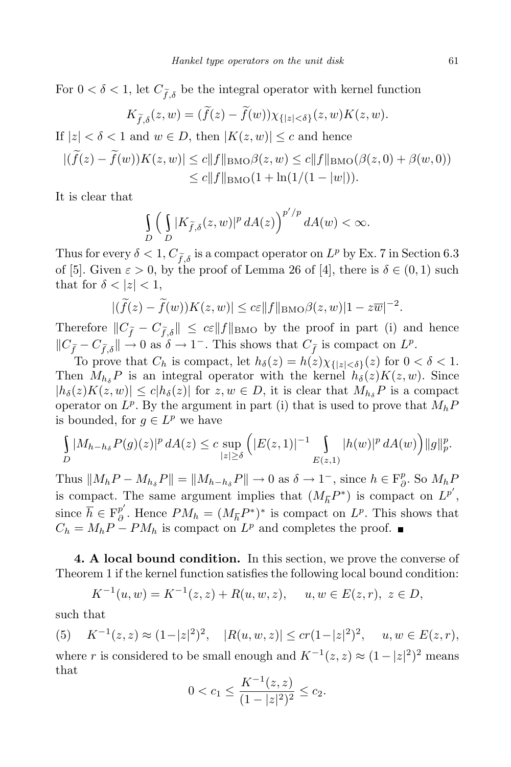For  $0 < \delta < 1$ , let  $C_{\tilde{f}, \delta}$  be the integral operator with kernel function

$$
K_{\widetilde{f},\delta}(z,w) = (\widetilde{f}(z) - \widetilde{f}(w))\chi_{\{|z| < \delta\}}(z,w)K(z,w).
$$

If  $|z| < \delta < 1$  and  $w \in D$ , then  $|K(z, w)| \leq c$  and hence

$$
|(\widetilde{f}(z) - \widetilde{f}(w))K(z, w)| \le c \|f\|_{\text{BMO}} \beta(z, w) \le c \|f\|_{\text{BMO}} (\beta(z, 0) + \beta(w, 0))
$$
  

$$
\le c \|f\|_{\text{BMO}} (1 + \ln(1/(1 - |w|)).
$$

It is clear that

$$
\int\limits_{D} \Big(\int\limits_{D} |K_{\widetilde{f},\delta}(z,w)|^p \, dA(z)\Big)^{p'/p} \, dA(w) < \infty.
$$

Thus for every  $\delta < 1$ ,  $C_{\tilde{f},\delta}$  is a compact operator on  $L^p$  by Ex. 7 in Section 6.3 of [5]. Given  $\varepsilon > 0$ , by the proof of Lemma 26 of [4], there is  $\delta \in (0,1)$  such that for  $\delta$  <  $|z|$  < 1,

$$
|(\widetilde{f}(z) - \widetilde{f}(w))K(z, w)| \le c\varepsilon \|f\|_{\text{BMO}} \beta(z, w)|1 - z\overline{w}|^{-2}.
$$

Therefore  $||C_{\tilde{f}} - C_{\tilde{f},\delta}|| \leq c\varepsilon ||f||_{\text{BMO}}$  by the proof in part (i) and hence  $\|C_{\tilde{f}_-} - C_{\tilde{f},\delta}\| \to 0$  as  $\delta \to 1^-$ . This shows that  $C_{\tilde{f}}$  is compact on  $L^p$ .

To prove that  $C_h$  is compact, let  $h_\delta(z) = h(z) \chi_{\{|z| < \delta\}}(z)$  for  $0 < \delta < 1$ . Then  $M_{h_{\delta}}P$  is an integral operator with the kernel  $h_{\delta}(z)K(z,w)$ . Since  $|h_{\delta}(z)K(z,w)| \leq c|h_{\delta}(z)|$  for  $z, w \in D$ , it is clear that  $M_{h_{\delta}}P$  is a compact operator on  $L^p$ . By the argument in part (i) that is used to prove that  $M_h P$ is bounded, for  $g \in L^p$  we have

$$
\int_{D} |M_{h-h_{\delta}} P(g)(z)|^{p} dA(z) \leq c \sup_{|z| \geq \delta} (|E(z,1)|^{-1} \int_{E(z,1)} |h(w)|^{p} dA(w)) ||g||_{p}^{p}.
$$

Thus  $||M_hP - M_{h_\delta}P|| = ||M_{h-h_\delta}P|| \to 0$  as  $\delta \to 1^-$ , since  $h \in \mathbb{F}_\delta^p$ *∂* . So *MhP* is compact. The same argument implies that  $(M_{\overline{h}}P^*)$  is compact on  $L^{p'}$ , since  $\overline{h} \in \mathbb{F}^{p'}_{\partial}$  $\frac{p}{\partial}$ . Hence  $PM_h = (M_{\overline{h}}P^*)^*$  is compact on  $L^p$ . This shows that  $C_h = M_h P - P M_h$  is compact on  $L^p$  and completes the proof.

**4. A local bound condition.** In this section, we prove the converse of Theorem 1 if the kernel function satisfies the following local bound condition:

$$
K^{-1}(u, w) = K^{-1}(z, z) + R(u, w, z), \quad u, w \in E(z, r), \ z \in D,
$$

such that

(5)  $K^{-1}(z, z) \approx (1-|z|^2)^2$ ,  $|R(u, w, z)| \le cr(1-|z|^2)^2$ ,  $u, w \in E(z, r)$ , where *r* is considered to be small enough and  $K^{-1}(z, z) \approx (1 - |z|^2)^2$  means that

$$
0 < c_1 \le \frac{K^{-1}(z, z)}{(1 - |z|^2)^2} \le c_2.
$$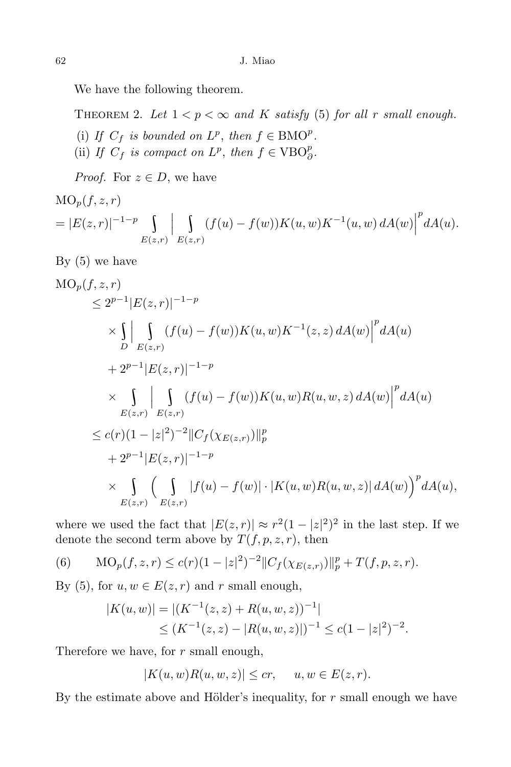We have the following theorem.

THEOREM 2. Let  $1 < p < \infty$  and K satisfy (5) for all r small enough.

- (i) If  $C_f$  is bounded on  $L^p$ , then  $f \in BMO^p$ .
- (ii) If  $C_f$  is compact on  $L^p$ , then  $f \in \text{VBO}_{\partial}^p$ .

*Proof.* For  $z \in D$ , we have

$$
\begin{aligned} \text{MO}_p(f, z, r) \\ &= |E(z, r)|^{-1-p} \int\limits_{E(z, r)} \bigg| \int\limits_{E(z, r)} (f(u) - f(w)) K(u, w) K^{-1}(u, w) \, dA(w) \bigg|^p dA(u). \end{aligned}
$$

By (5) we have

$$
MO_p(f, z, r)
$$
  
\n
$$
\leq 2^{p-1}|E(z, r)|^{-1-p}
$$
  
\n
$$
\times \int_{D} \left| \int_{E(z, r)} (f(u) - f(w))K(u, w)K^{-1}(z, z) dA(w) \right|^{p} dA(u)
$$
  
\n
$$
+ 2^{p-1}|E(z, r)|^{-1-p}
$$
  
\n
$$
\times \int_{E(z, r)} \left| \int_{E(z, r)} (f(u) - f(w))K(u, w)R(u, w, z) dA(w) \right|^{p} dA(u)
$$
  
\n
$$
\leq c(r)(1 - |z|^{2})^{-2}||C_f(\chi_{E(z, r)})||_{p}^{p}
$$
  
\n
$$
+ 2^{p-1}|E(z, r)|^{-1-p}
$$
  
\n
$$
\times \int_{E(z, r)} \left( \int_{E(z, r)} |f(u) - f(w)| \cdot |K(u, w)R(u, w, z)| dA(w) \right)^{p} dA(u),
$$

where we used the fact that  $|E(z, r)| \approx r^2(1 - |z|^2)^2$  in the last step. If we denote the second term above by  $T(f, p, z, r)$ , then

(6) 
$$
MO_p(f, z, r) \le c(r)(1 - |z|^2)^{-2} ||C_f(\chi_{E(z,r)})||_p^p + T(f, p, z, r).
$$

By (5), for  $u, w \in E(z, r)$  and  $r$  small enough,

$$
|K(u, w)| = |(K^{-1}(z, z) + R(u, w, z))^{-1}|
$$
  
\n
$$
\leq (K^{-1}(z, z) - |R(u, w, z)|)^{-1} \leq c(1 - |z|^2)^{-2}.
$$

Therefore we have, for *r* small enough,

$$
|K(u, w)R(u, w, z)| \le cr, \quad u, w \in E(z, r).
$$

By the estimate above and Hölder's inequality, for  $r$  small enough we have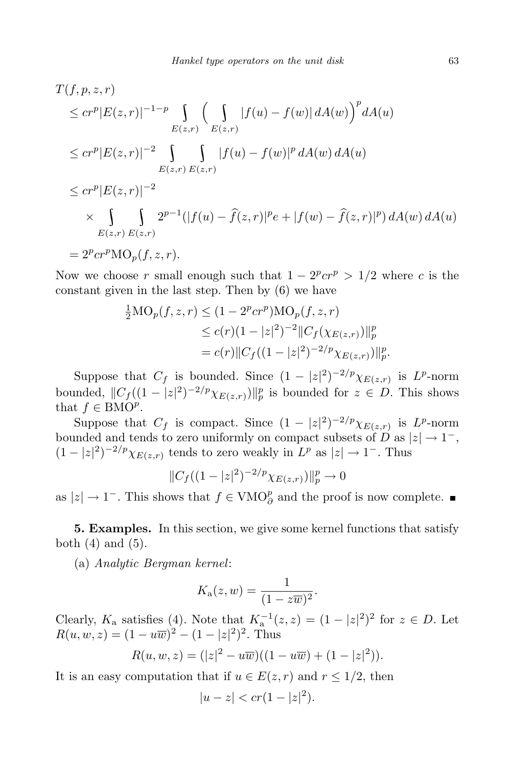$$
T(f, p, z, r)
$$
  
\n
$$
\leq cr^{p}|E(z, r)|^{-1-p} \int_{E(z, r)} \left(\int_{E(z, r)} |f(u) - f(w)| dA(w)\right)^{p} dA(u)
$$
  
\n
$$
\leq cr^{p}|E(z, r)|^{-2} \int_{E(z, r)} \int_{E(z, r)} |f(u) - f(w)|^{p} dA(w) dA(u)
$$
  
\n
$$
\leq cr^{p}|E(z, r)|^{-2}
$$
  
\n
$$
\times \int_{E(z, r)} \int_{E(z, r)} 2^{p-1} (|f(u) - \hat{f}(z, r)|^{p} e + |f(w) - \hat{f}(z, r)|^{p}) dA(w) dA(u)
$$
  
\n
$$
= 2^{p} cr^{p} \text{MO}_{p}(f, z, r).
$$

Now we choose *r* small enough such that  $1 - 2^p c r^p > 1/2$  where *c* is the constant given in the last step. Then by (6) we have

$$
\frac{1}{2} \text{MO}_p(f, z, r) \le (1 - 2^p c r^p) \text{MO}_p(f, z, r)
$$
  
\n
$$
\le c(r) (1 - |z|^2)^{-2} \|C_f(\chi_{E(z,r)})\|_p^p
$$
  
\n
$$
= c(r) \|C_f((1 - |z|^2)^{-2/p} \chi_{E(z,r)})\|_p^p
$$

Suppose that  $C_f$  is bounded. Since  $(1 - |z|^2)^{-2/p} \chi_{E(z,r)}$  is  $L^p$ -norm bounded,  $||C_f((1 - |z|^2)^{-2/p}\chi_{E(z,r)})||_p^p$  is bounded for  $z \in D$ . This shows that  $f \in BMO^p$ .

Suppose that  $C_f$  is compact. Since  $(1 - |z|^2)^{-2/p} \chi_{E(z,r)}$  is  $L^p$ -norm bounded and tends to zero uniformly on compact subsets of *D* as  $|z| \to 1^-$ ,  $(1 - |z|^2)^{-2/p} \chi_{E(z,r)}$  tends to zero weakly in  $L^p$  as  $|z| \to 1^-$ . Thus

$$
||C_f((1-|z|^2)^{-2/p}\chi_{E(z,r)})||_p^p \to 0
$$

as  $|z| \to 1^-$ . This shows that  $f \in VMO_{\partial}^p$  and the proof is now complete.

**5. Examples.** In this section, we give some kernel functions that satisfy both  $(4)$  and  $(5)$ .

(a) *Analytic Bergman kernel*:

$$
K_{\mathbf{a}}(z,w)=\frac{1}{(1-z\overline{w})^2}.
$$

Clearly,  $K_a$  satisfies (4). Note that  $K_a^{-1}(z, z) = (1 - |z|^2)^2$  for  $z \in D$ . Let  $R(u, w, z) = (1 - u\overline{w})^2 - (1 - |z|^2)^2$ . Thus

$$
R(u, w, z) = (|z|^2 - u\overline{w})((1 - u\overline{w}) + (1 - |z|^2)).
$$

It is an easy computation that if  $u \in E(z, r)$  and  $r \leq 1/2$ , then

$$
|u - z| < cr(1 - |z|^2).
$$

*.*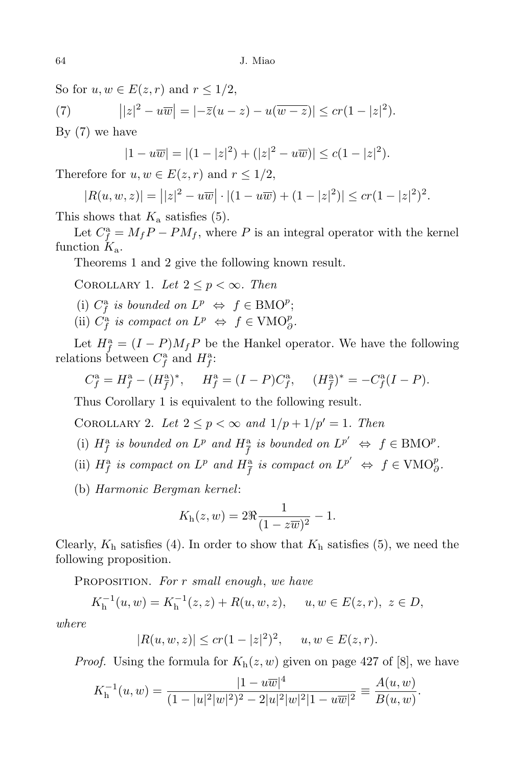So for  $u, w \in E(z, r)$  and  $r \leq 1/2$ ,

(7)  $||z|^2 - u\overline{w}| = |-\overline{z}(u-z) - u(\overline{w-z})| \le cr(1-|z|^2).$ 

By (7) we have

$$
|1 - u\overline{w}| = |(1 - |z|^2) + (|z|^2 - u\overline{w})| \le c(1 - |z|^2).
$$

Therefore for  $u, w \in E(z, r)$  and  $r \leq 1/2$ ,

$$
|R(u, w, z)| = | |z|^2 - u \overline{w} | \cdot |(1 - u \overline{w}) + (1 - |z|^2) | \leq cr(1 - |z|^2)^2.
$$

This shows that  $K_a$  satisfies  $(5)$ .

Let  $C_f^{\mathbf{a}} = M_f P - PM_f$ , where *P* is an integral operator with the kernel function *K*a.

Theorems 1 and 2 give the following known result.

COROLLARY 1. Let  $2 \leq p < \infty$ . Then

- (i)  $C_f^{\mathbf{a}}$  *is bounded on*  $L^p \Leftrightarrow f \in \text{BMO}^p$ ;
- (ii)  $C_f^{\mathbf{a}}$  *is compact on*  $L^p \Leftrightarrow f \in \text{VMO}_{\partial}^p$ .

Let  $H_f^{\text{a}} = (I - P)M_f P$  be the Hankel operator. We have the following relations between  $C_f^{\text{a}}$  and  $H_f^{\text{a}}$ .

$$
C_f^{\mathbf{a}} = H_f^{\mathbf{a}} - (H_f^{\mathbf{a}})^*, \quad H_f^{\mathbf{a}} = (I - P)C_f^{\mathbf{a}}, \quad (H_f^{\mathbf{a}})^* = -C_f^{\mathbf{a}}(I - P).
$$

Thus Corollary 1 is equivalent to the following result.

COROLLARY 2. Let  $2 \leq p < \infty$  and  $1/p + 1/p' = 1$ . Then

- (i)  $H_f^a$  *is bounded on*  $L^p$  *and*  $H_{\overline{f}}^a$  *is bounded on*  $L^{p'} \Leftrightarrow f \in \text{BMO}^p$ .
- (ii)  $H_f^{\rm a}$  is compact on  $L^p$  and  $H_{\overline{f}}^{\rm a}$  is compact on  $L^{p'} \Leftrightarrow f \in \text{VMO}_{\partial}^p$ .
- (b) *Harmonic Bergman kernel*:

$$
K_{\rm h}(z, w) = 2\Re \frac{1}{(1 - z\overline{w})^2} - 1.
$$

Clearly,  $K<sub>h</sub>$  satisfies (4). In order to show that  $K<sub>h</sub>$  satisfies (5), we need the following proposition.

Proposition. *For r small enough*, *we have*

$$
K_{\mathbf{h}}^{-1}(u, w) = K_{\mathbf{h}}^{-1}(z, z) + R(u, w, z), \quad u, w \in E(z, r), \ z \in D,
$$

*where*

$$
|R(u, w, z)| \le cr(1 - |z|^2)^2, \quad u, w \in E(z, r).
$$

*Proof.* Using the formula for  $K_h(z, w)$  given on page 427 of [8], we have

$$
K_{\mathbf{h}}^{-1}(u, w) = \frac{|1 - u\overline{w}|^4}{(1 - |u|^2 |w|^2)^2 - 2|u|^2 |w|^2 |1 - u\overline{w}|^2} \equiv \frac{A(u, w)}{B(u, w)}.
$$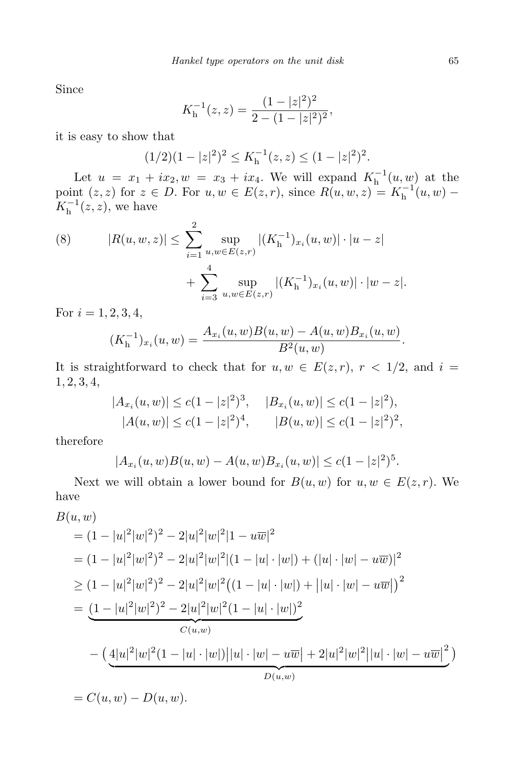Since

$$
K_{\mathbf{h}}^{-1}(z,z) = \frac{(1-|z|^2)^2}{2-(1-|z|^2)^2},
$$

it is easy to show that

$$
(1/2)(1-|z|^2)^2 \le K_h^{-1}(z,z) \le (1-|z|^2)^2.
$$

Let  $u = x_1 + ix_2, w = x_3 + ix_4$ . We will expand  $K_h^{-1}(u, w)$  at the point  $(z, z)$  for  $z \in D$ . For  $u, w \in E(z, r)$ , since  $R(u, w, z) = K_h^{-1}(u, w) K_h^{-1}(z, z)$ , we have

(8) 
$$
|R(u, w, z)| \leq \sum_{i=1}^{2} \sup_{u, w \in E(z, r)} |(K_{\mathbf{h}}^{-1})_{x_i}(u, w)| \cdot |u - z| + \sum_{i=3}^{4} \sup_{u, w \in E(z, r)} |(K_{\mathbf{h}}^{-1})_{x_i}(u, w)| \cdot |w - z|.
$$

For  $i = 1, 2, 3, 4$ ,

$$
(K_{\mathbf{h}}^{-1})_{x_i}(u,w) = \frac{A_{x_i}(u,w)B(u,w) - A(u,w)B_{x_i}(u,w)}{B^2(u,w)}.
$$

It is straightforward to check that for  $u, w \in E(z, r)$ ,  $r < 1/2$ , and  $i =$ 1*,* 2*,* 3*,* 4,

$$
|A_{x_i}(u, w)| \le c(1 - |z|^2)^3, \quad |B_{x_i}(u, w)| \le c(1 - |z|^2),
$$
  

$$
|A(u, w)| \le c(1 - |z|^2)^4, \quad |B(u, w)| \le c(1 - |z|^2)^2,
$$

therefore

$$
|A_{x_i}(u, w)B(u, w) - A(u, w)B_{x_i}(u, w)| \le c(1 - |z|^2)^5.
$$

Next we will obtain a lower bound for  $B(u, w)$  for  $u, w \in E(z, r)$ . We have

$$
B(u, w)
$$
  
=  $(1 - |u|^2|w|^2)^2 - 2|u|^2|w|^2|1 - u\overline{w}|^2$   
=  $(1 - |u|^2|w|^2)^2 - 2|u|^2|w|^2|(1 - |u| \cdot |w|) + (|u| \cdot |w| - u\overline{w})|^2$   

$$
\geq (1 - |u|^2|w|^2)^2 - 2|u|^2|w|^2((1 - |u| \cdot |w|) + ||u| \cdot |w| - u\overline{w}|)^2
$$
  
=  $\underbrace{(1 - |u|^2|w|^2)^2 - 2|u|^2|w|^2(1 - |u| \cdot |w|)^2}_{C(u, w)}$   

$$
- \underbrace{(4|u|^2|w|^2(1 - |u| \cdot |w|)||u| \cdot |w| - u\overline{w}| + 2|u|^2|w|^2||u| \cdot |w| - u\overline{w}|^2}_{D(u, w)})
$$
  
=  $C(u, w) - D(u, w).$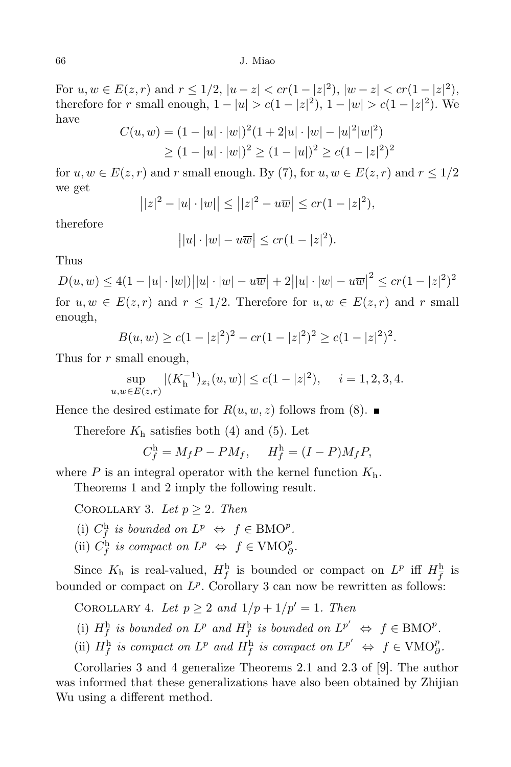#### 66 J. Miao

For  $u, w \in E(z, r)$  and  $r \leq 1/2$ ,  $|u - z| < cr(1 - |z|^2)$ ,  $|w - z| < cr(1 - |z|^2)$ therefore for r small enough,  $1 - |u| > c(1 - |z|^2)$ ,  $1 - |w| > c(1 - |z|^2)$ . We have

$$
C(u, w) = (1 - |u| \cdot |w|)^2 (1 + 2|u| \cdot |w| - |u|^2 |w|^2)
$$
  
\n
$$
\ge (1 - |u| \cdot |w|)^2 \ge (1 - |u|)^2 \ge c(1 - |z|^2)^2
$$

for  $u, w \in E(z, r)$  and  $r$  small enough. By (7), for  $u, w \in E(z, r)$  and  $r \leq 1/2$ we get

$$
||z|^2 - |u| \cdot |w|| \le ||z|^2 - u\overline{w}|| \le cr(1 - |z|^2),
$$

therefore

$$
||u| \cdot |w| - u\overline{w}| \le cr(1 - |z|^2).
$$

# Thus

 $D(u, w) \le 4(1 - |u| \cdot |w|) ||u| \cdot |w| - u\overline{w} + 2||u| \cdot |w| - u\overline{w}||^2 \le cr(1 - |z|^2)^2$ for  $u, w \in E(z, r)$  and  $r \leq 1/2$ . Therefore for  $u, w \in E(z, r)$  and  $r$  small enough,

$$
B(u, w) \ge c(1 - |z|^2)^2 - cr(1 - |z|^2)^2 \ge c(1 - |z|^2)^2.
$$

Thus for *r* small enough,

$$
\sup_{u,w \in E(z,r)} |(K_{\mathbf{h}}^{-1})_{x_i}(u,w)| \le c(1-|z|^2), \quad i = 1,2,3,4.
$$

Hence the desired estimate for  $R(u, w, z)$  follows from (8).

Therefore  $K<sub>h</sub>$  satisfies both (4) and (5). Let

$$
C_f^{\mathbf{h}} = M_f P - P M_f, \quad H_f^{\mathbf{h}} = (I - P) M_f P,
$$

where  $P$  is an integral operator with the kernel function  $K<sub>h</sub>$ .

Theorems 1 and 2 imply the following result.

COROLLARY 3. Let  $p \geq 2$ . Then

- (i)  $C_f^h$  *is bounded on*  $L^p \Leftrightarrow f \in BMO^p$ .
- (ii)  $C_f^h$  *is compact on*  $L^p \Leftrightarrow f \in VMO_{\partial}^p$ .

Since  $K_{\text{h}}$  is real-valued,  $H_f^{\text{h}}$  is bounded or compact on  $L^p$  iff  $H_{\overline{f}}^{\text{h}}$  is bounded or compact on  $L^p$ . Corollary 3 can now be rewritten as follows:

COROLLARY 4. Let  $p \geq 2$  and  $1/p + 1/p' = 1$ . Then

- (i)  $H_f^h$  *is bounded on*  $L^p$  *and*  $H_f^h$  *is bounded on*  $L^{p'} \Leftrightarrow f \in \text{BMO}^p$ .
- (ii)  $H_f^h$  is compact on  $L^p$  and  $H_f^h$  is compact on  $L^{p'} \Leftrightarrow f \in \text{VMO}_{\partial}^p$ .

Corollaries 3 and 4 generalize Theorems 2.1 and 2.3 of [9]. The author was informed that these generalizations have also been obtained by Zhijian Wu using a different method.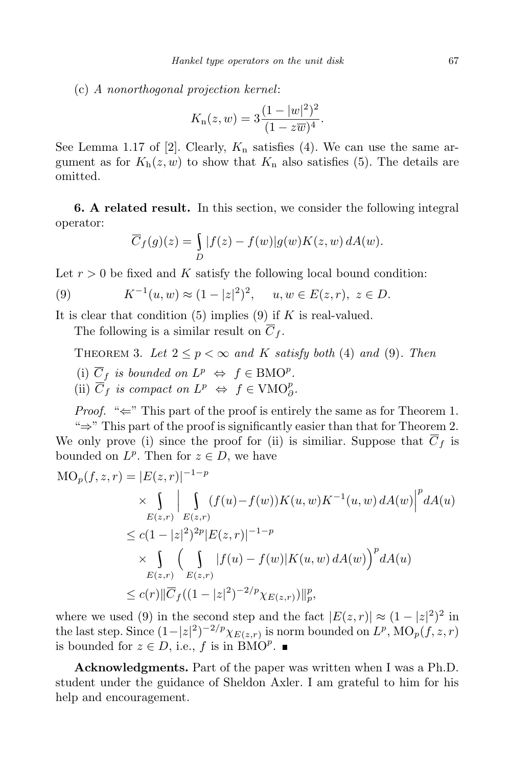(c) *A nonorthogonal projection kernel*:

$$
K_{n}(z, w) = 3 \frac{(1 - |w|^{2})^{2}}{(1 - z\overline{w})^{4}}.
$$

See Lemma 1.17 of [2]. Clearly,  $K_n$  satisfies (4). We can use the same argument as for  $K_h(z, w)$  to show that  $K_h$  also satisfies (5). The details are omitted.

**6. A related result.** In this section, we consider the following integral operator:

$$
\overline{C}_f(g)(z) = \int_D |f(z) - f(w)| g(w) K(z, w) dA(w).
$$

Let  $r > 0$  be fixed and K satisfy the following local bound condition:

(9) 
$$
K^{-1}(u, w) \approx (1 - |z|^2)^2
$$
,  $u, w \in E(z, r)$ ,  $z \in D$ .

It is clear that condition (5) implies (9) if *K* is real-valued.

The following is a similar result on  $\overline{C}_f$ .

THEOREM 3. Let  $2 \leq p < \infty$  and K satisfy both (4) and (9). Then

- (i)  $\overline{C}_f$  *is bounded on*  $L^p \Leftrightarrow f \in \text{BMO}^p$ .
- (ii)  $\overline{C}_f$  *is compact on*  $L^p \Leftrightarrow f \in \text{VMO}_{\partial}^p$ .

*Proof.* "←" This part of the proof is entirely the same as for Theorem 1. "*⇒*" This part of the proof is significantly easier than that for Theorem 2. We only prove (i) since the proof for (ii) is similiar. Suppose that  $\overline{C}_f$  is bounded on  $L^p$ . Then for  $z \in D$ , we have

$$
\begin{split} \text{MO}_{p}(f, z, r) &= |E(z, r)|^{-1-p} \\ &\times \int_{E(z, r)} \left| \int_{E(z, r)} (f(u) - f(w)) K(u, w) K^{-1}(u, w) \, dA(w) \right|^{p} dA(u) \\ &\le c(1 - |z|^{2})^{2p} |E(z, r)|^{-1-p} \\ &\times \int_{E(z, r)} \left( \int_{E(z, r)} |f(u) - f(w)| K(u, w) \, dA(w) \right)^{p} dA(u) \\ &\le c(r) \|\overline{C}_{f}((1 - |z|^{2})^{-2/p} \chi_{E(z, r)})\|_{p}^{p}, \end{split}
$$

where we used (9) in the second step and the fact  $|E(z,r)| \approx (1-|z|^2)^2$  in the last step. Since  $(1-|z|^2)^{-2/p} \chi_{E(z,r)}$  is norm bounded on  $L^p$ ,  $\text{MO}_p(f, z, r)$ is bounded for  $z \in D$ , i.e.,  $f$  is in  $\angle BMO^p$ .

**Acknowledgments.** Part of the paper was written when I was a Ph.D. student under the guidance of Sheldon Axler. I am grateful to him for his help and encouragement.